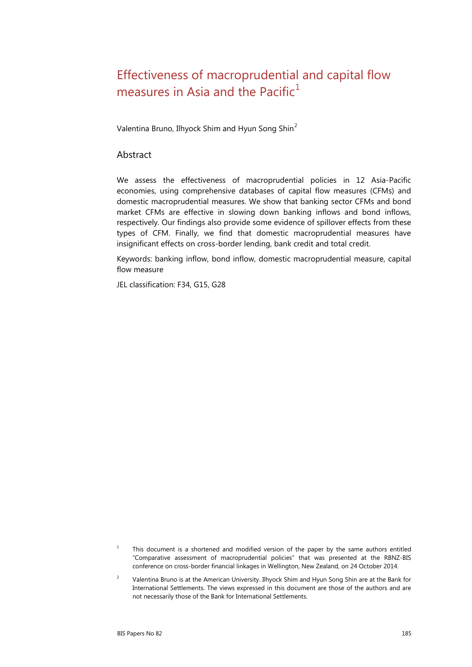# Effectiveness of macroprudential and capital flow measures in Asia and the Pacific $1$

Valentina Bruno, Ilhyock Shim and Hyun Song Shin<sup>[2](#page-0-1)</sup>

#### Abstract

We assess the effectiveness of macroprudential policies in 12 Asia-Pacific economies, using comprehensive databases of capital flow measures (CFMs) and domestic macroprudential measures. We show that banking sector CFMs and bond market CFMs are effective in slowing down banking inflows and bond inflows, respectively. Our findings also provide some evidence of spillover effects from these types of CFM. Finally, we find that domestic macroprudential measures have insignificant effects on cross-border lending, bank credit and total credit.

Keywords: banking inflow, bond inflow, domestic macroprudential measure, capital flow measure

JEL classification: F34, G15, G28

<span id="page-0-0"></span><sup>&</sup>lt;sup>1</sup> This document is a shortened and modified version of the paper by the same authors entitled "Comparative assessment of macroprudential policies" that was presented at the RBNZ-BIS conference on cross-border financial linkages in Wellington, New Zealand, on 24 October 2014.

<span id="page-0-1"></span><sup>&</sup>lt;sup>2</sup> Valentina Bruno is at the American University. Ilhyock Shim and Hyun Song Shin are at the Bank for International Settlements. The views expressed in this document are those of the authors and are not necessarily those of the Bank for International Settlements.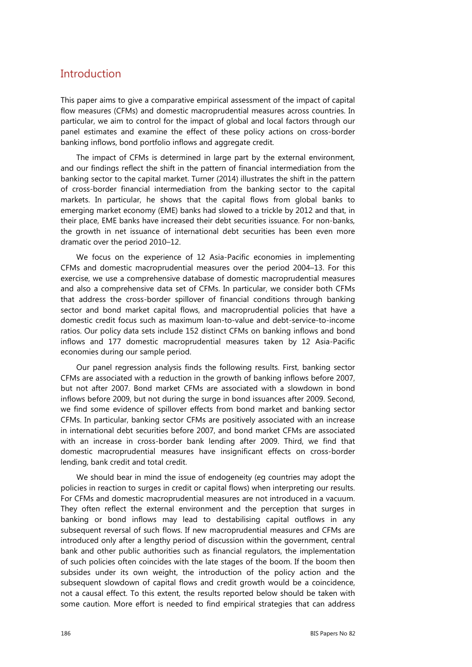#### **Introduction**

This paper aims to give a comparative empirical assessment of the impact of capital flow measures (CFMs) and domestic macroprudential measures across countries. In particular, we aim to control for the impact of global and local factors through our panel estimates and examine the effect of these policy actions on cross-border banking inflows, bond portfolio inflows and aggregate credit.

The impact of CFMs is determined in large part by the external environment, and our findings reflect the shift in the pattern of financial intermediation from the banking sector to the capital market. Turner (2014) illustrates the shift in the pattern of cross-border financial intermediation from the banking sector to the capital markets. In particular, he shows that the capital flows from global banks to emerging market economy (EME) banks had slowed to a trickle by 2012 and that, in their place, EME banks have increased their debt securities issuance. For non-banks, the growth in net issuance of international debt securities has been even more dramatic over the period 2010–12.

We focus on the experience of 12 Asia-Pacific economies in implementing CFMs and domestic macroprudential measures over the period 2004–13. For this exercise, we use a comprehensive database of domestic macroprudential measures and also a comprehensive data set of CFMs. In particular, we consider both CFMs that address the cross-border spillover of financial conditions through banking sector and bond market capital flows, and macroprudential policies that have a domestic credit focus such as maximum loan-to-value and debt-service-to-income ratios. Our policy data sets include 152 distinct CFMs on banking inflows and bond inflows and 177 domestic macroprudential measures taken by 12 Asia-Pacific economies during our sample period.

Our panel regression analysis finds the following results. First, banking sector CFMs are associated with a reduction in the growth of banking inflows before 2007, but not after 2007. Bond market CFMs are associated with a slowdown in bond inflows before 2009, but not during the surge in bond issuances after 2009. Second, we find some evidence of spillover effects from bond market and banking sector CFMs. In particular, banking sector CFMs are positively associated with an increase in international debt securities before 2007, and bond market CFMs are associated with an increase in cross-border bank lending after 2009. Third, we find that domestic macroprudential measures have insignificant effects on cross-border lending, bank credit and total credit.

We should bear in mind the issue of endogeneity (eg countries may adopt the policies in reaction to surges in credit or capital flows) when interpreting our results. For CFMs and domestic macroprudential measures are not introduced in a vacuum. They often reflect the external environment and the perception that surges in banking or bond inflows may lead to destabilising capital outflows in any subsequent reversal of such flows. If new macroprudential measures and CFMs are introduced only after a lengthy period of discussion within the government, central bank and other public authorities such as financial regulators, the implementation of such policies often coincides with the late stages of the boom. If the boom then subsides under its own weight, the introduction of the policy action and the subsequent slowdown of capital flows and credit growth would be a coincidence, not a causal effect. To this extent, the results reported below should be taken with some caution. More effort is needed to find empirical strategies that can address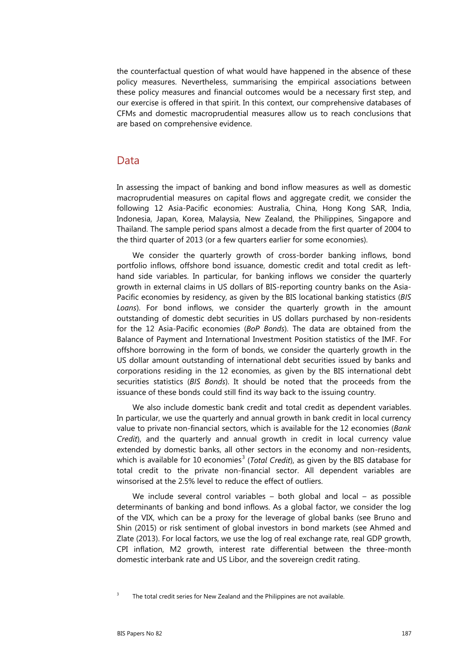the counterfactual question of what would have happened in the absence of these policy measures. Nevertheless, summarising the empirical associations between these policy measures and financial outcomes would be a necessary first step, and our exercise is offered in that spirit. In this context, our comprehensive databases of CFMs and domestic macroprudential measures allow us to reach conclusions that are based on comprehensive evidence.

#### Data

In assessing the impact of banking and bond inflow measures as well as domestic macroprudential measures on capital flows and aggregate credit, we consider the following 12 Asia-Pacific economies: Australia, China, Hong Kong SAR, India, Indonesia, Japan, Korea, Malaysia, New Zealand, the Philippines, Singapore and Thailand. The sample period spans almost a decade from the first quarter of 2004 to the third quarter of 2013 (or a few quarters earlier for some economies).

We consider the quarterly growth of cross-border banking inflows, bond portfolio inflows, offshore bond issuance, domestic credit and total credit as lefthand side variables. In particular, for banking inflows we consider the quarterly growth in external claims in US dollars of BIS-reporting country banks on the Asia-Pacific economies by residency, as given by the BIS locational banking statistics (*BIS Loans*). For bond inflows, we consider the quarterly growth in the amount outstanding of domestic debt securities in US dollars purchased by non-residents for the 12 Asia-Pacific economies (*BoP Bonds*). The data are obtained from the Balance of Payment and International Investment Position statistics of the IMF. For offshore borrowing in the form of bonds, we consider the quarterly growth in the US dollar amount outstanding of international debt securities issued by banks and corporations residing in the 12 economies, as given by the BIS international debt securities statistics (*BIS Bonds*). It should be noted that the proceeds from the issuance of these bonds could still find its way back to the issuing country.

We also include domestic bank credit and total credit as dependent variables. In particular, we use the quarterly and annual growth in bank credit in local currency value to private non-financial sectors, which is available for the 12 economies (*Bank Credit*), and the quarterly and annual growth in credit in local currency value extended by domestic banks, all other sectors in the economy and non-residents, which is available for 10 economies<sup>[3](#page-2-0)</sup> (*Total Credit*), as given by the BIS database for total credit to the private non-financial sector. All dependent variables are winsorised at the 2.5% level to reduce the effect of outliers.

We include several control variables – both global and local – as possible determinants of banking and bond inflows. As a global factor, we consider the log of the VIX, which can be a proxy for the leverage of global banks (see Bruno and Shin (2015) or risk sentiment of global investors in bond markets (see Ahmed and Zlate (2013). For local factors, we use the log of real exchange rate, real GDP growth, CPI inflation, M2 growth, interest rate differential between the three-month domestic interbank rate and US Libor, and the sovereign credit rating.

<span id="page-2-0"></span> $3$  The total credit series for New Zealand and the Philippines are not available.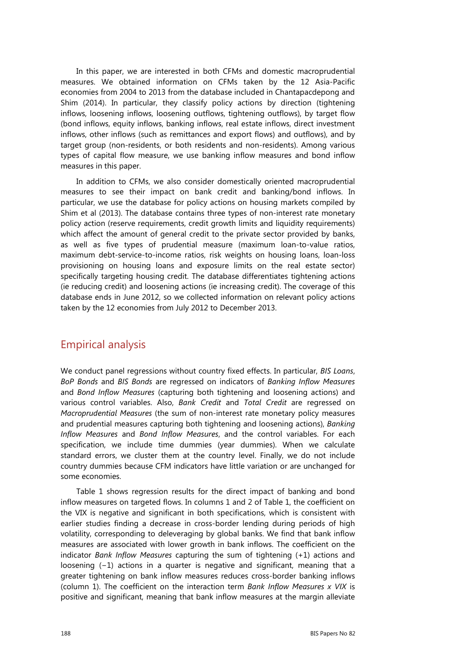In this paper, we are interested in both CFMs and domestic macroprudential measures. We obtained information on CFMs taken by the 12 Asia-Pacific economies from 2004 to 2013 from the database included in Chantapacdepong and Shim (2014). In particular, they classify policy actions by direction (tightening inflows, loosening inflows, loosening outflows, tightening outflows), by target flow (bond inflows, equity inflows, banking inflows, real estate inflows, direct investment inflows, other inflows (such as remittances and export flows) and outflows), and by target group (non-residents, or both residents and non-residents). Among various types of capital flow measure, we use banking inflow measures and bond inflow measures in this paper.

In addition to CFMs, we also consider domestically oriented macroprudential measures to see their impact on bank credit and banking/bond inflows. In particular, we use the database for policy actions on housing markets compiled by Shim et al (2013). The database contains three types of non-interest rate monetary policy action (reserve requirements, credit growth limits and liquidity requirements) which affect the amount of general credit to the private sector provided by banks, as well as five types of prudential measure (maximum loan-to-value ratios, maximum debt-service-to-income ratios, risk weights on housing loans, loan-loss provisioning on housing loans and exposure limits on the real estate sector) specifically targeting housing credit. The database differentiates tightening actions (ie reducing credit) and loosening actions (ie increasing credit). The coverage of this database ends in June 2012, so we collected information on relevant policy actions taken by the 12 economies from July 2012 to December 2013.

### Empirical analysis

We conduct panel regressions without country fixed effects. In particular, *BIS Loans*, *BoP Bonds* and *BIS Bonds* are regressed on indicators of *Banking Inflow Measures* and *Bond Inflow Measures* (capturing both tightening and loosening actions) and various control variables. Also, *Bank Credit* and *Total Credit* are regressed on *Macroprudential Measures* (the sum of non-interest rate monetary policy measures and prudential measures capturing both tightening and loosening actions), *Banking Inflow Measures* and *Bond Inflow Measures*, and the control variables. For each specification, we include time dummies (year dummies). When we calculate standard errors, we cluster them at the country level. Finally, we do not include country dummies because CFM indicators have little variation or are unchanged for some economies.

Table 1 shows regression results for the direct impact of banking and bond inflow measures on targeted flows. In columns 1 and 2 of Table 1, the coefficient on the VIX is negative and significant in both specifications, which is consistent with earlier studies finding a decrease in cross-border lending during periods of high volatility, corresponding to deleveraging by global banks. We find that bank inflow measures are associated with lower growth in bank inflows. The coefficient on the indicator *Bank Inflow Measures* capturing the sum of tightening (+1) actions and loosening (−1) actions in a quarter is negative and significant, meaning that a greater tightening on bank inflow measures reduces cross-border banking inflows (column 1). The coefficient on the interaction term *Bank Inflow Measures x VIX* is positive and significant, meaning that bank inflow measures at the margin alleviate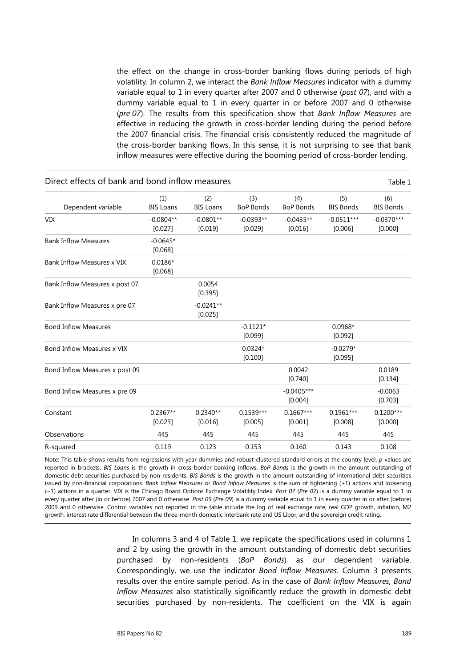the effect on the change in cross-border banking flows during periods of high volatility. In column 2, we interact the *Bank Inflow Measures* indicator with a dummy variable equal to 1 in every quarter after 2007 and 0 otherwise (*post 07*), and with a dummy variable equal to 1 in every quarter in or before 2007 and 0 otherwise (*pre 07*). The results from this specification show that *Bank Inflow Measures* are effective in reducing the growth in cross-border lending during the period before the 2007 financial crisis. The financial crisis consistently reduced the magnitude of the cross-border banking flows. In this sense, it is not surprising to see that bank inflow measures were effective during the booming period of cross-border lending.

| Direct effects of bank and bond inflow measures |                         |                         |                         |                         |                         | Table 1                 |  |
|-------------------------------------------------|-------------------------|-------------------------|-------------------------|-------------------------|-------------------------|-------------------------|--|
| Dependent variable                              | (1)<br><b>BIS Loans</b> | (2)<br><b>BIS Loans</b> | (3)<br><b>BoP Bonds</b> | (4)<br><b>BoP Bonds</b> | (5)<br><b>BIS Bonds</b> | (6)<br><b>BIS Bonds</b> |  |
| <b>VIX</b>                                      | $-0.0804**$<br>[0.027]  | $-0.0801**$<br>[0.019]  | $-0.0393**$<br>[0.029]  | $-0.0435**$<br>[0.016]  | $-0.0511***$<br>[0.006] | $-0.0370***$<br>[0.000] |  |
| <b>Bank Inflow Measures</b>                     | $-0.0645*$<br>[0.068]   |                         |                         |                         |                         |                         |  |
| Bank Inflow Measures x VIX                      | $0.0186*$<br>[0.068]    |                         |                         |                         |                         |                         |  |
| Bank Inflow Measures x post 07                  |                         | 0.0054<br>[0.395]       |                         |                         |                         |                         |  |
| Bank Inflow Measures x pre 07                   |                         | $-0.0241**$<br>[0.025]  |                         |                         |                         |                         |  |
| <b>Bond Inflow Measures</b>                     |                         |                         | $-0.1121*$<br>[0.099]   |                         | $0.0968*$<br>[0.092]    |                         |  |
| Bond Inflow Measures x VIX                      |                         |                         | $0.0324*$<br>[0.100]    |                         | $-0.0279*$<br>[0.095]   |                         |  |
| Bond Inflow Measures x post 09                  |                         |                         |                         | 0.0042<br>[0.740]       |                         | 0.0189<br>[0.134]       |  |
| Bond Inflow Measures x pre 09                   |                         |                         |                         | $-0.0405***$<br>[0.004] |                         | $-0.0063$<br>[0.703]    |  |
| Constant                                        | $0.2367**$<br>[0.023]   | $0.2340**$<br>[0.016]   | $0.1539***$<br>[0.005]  | $0.1667***$<br>[0.001]  | $0.1961***$<br>[0.008]  | $0.1200***$<br>[0.000]  |  |
| Observations                                    | 445                     | 445                     | 445                     | 445                     | 445                     | 445                     |  |
| R-squared                                       | 0.119                   | 0.123                   | 0.153                   | 0.160                   | 0.143                   | 0.108                   |  |

Note: This table shows results from regressions with year dummies and robust-clustered standard errors at the country level. *p*-values are reported in brackets. *BIS Loans* is the growth in cross-border banking inflows. *BoP Bonds* is the growth in the amount outstanding of domestic debt securities purchased by non-residents. *BIS Bonds* is the growth in the amount outstanding of international debt securities issued by non-financial corporations. *Bank Inflow Measures* or *Bond Inflow Measures* is the sum of tightening (+1) actions and loosening (−1) actions in a quarter. VIX is the Chicago Board Options Exchange Volatility Index. *Post 07* (*Pre 07*) is a dummy variable equal to 1 in every quarter after (in or before) 2007 and 0 otherwise. *Post 09* (*Pre 09*) is a dummy variable equal to 1 in every quarter in or after (before) 2009 and 0 otherwise. Control variables not reported in the table include the log of real exchange rate, real GDP growth, inflation, M2 growth, interest rate differential between the three-month domestic interbank rate and US Libor, and the sovereign credit rating.

> In columns 3 and 4 of Table 1, we replicate the specifications used in columns 1 and 2 by using the growth in the amount outstanding of domestic debt securities purchased by non-residents (*BoP Bonds*) as our dependent variable. Correspondingly, we use the indicator *Bond Inflow Measures*. Column 3 presents results over the entire sample period. As in the case of *Bank Inflow Measures*, *Bond Inflow Measures* also statistically significantly reduce the growth in domestic debt securities purchased by non-residents. The coefficient on the VIX is again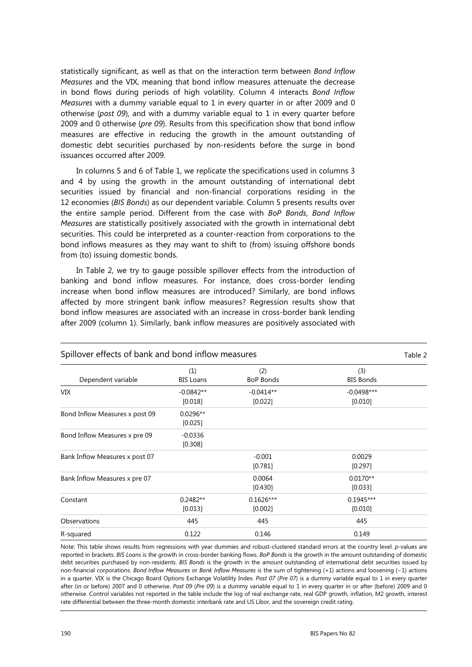statistically significant, as well as that on the interaction term between *Bond Inflow Measures* and the VIX, meaning that bond inflow measures attenuate the decrease in bond flows during periods of high volatility. Column 4 interacts *Bond Inflow Measures* with a dummy variable equal to 1 in every quarter in or after 2009 and 0 otherwise (*post 09*), and with a dummy variable equal to 1 in every quarter before 2009 and 0 otherwise (*pre 09*). Results from this specification show that bond inflow measures are effective in reducing the growth in the amount outstanding of domestic debt securities purchased by non-residents before the surge in bond issuances occurred after 2009.

In columns 5 and 6 of Table 1, we replicate the specifications used in columns 3 and 4 by using the growth in the amount outstanding of international debt securities issued by financial and non-financial corporations residing in the 12 economies (*BIS Bonds*) as our dependent variable. Column 5 presents results over the entire sample period. Different from the case with *BoP Bonds*, *Bond Inflow Measures* are statistically positively associated with the growth in international debt securities. This could be interpreted as a counter-reaction from corporations to the bond inflows measures as they may want to shift to (from) issuing offshore bonds from (to) issuing domestic bonds.

In Table 2, we try to gauge possible spillover effects from the introduction of banking and bond inflow measures. For instance, does cross-border lending increase when bond inflow measures are introduced? Similarly, are bond inflows affected by more stringent bank inflow measures? Regression results show that bond inflow measures are associated with an increase in cross-border bank lending after 2009 (column 1). Similarly, bank inflow measures are positively associated with

| Spillover effects of bank and bond inflow measures |                         |                         |                         |  |  |
|----------------------------------------------------|-------------------------|-------------------------|-------------------------|--|--|
| Dependent variable                                 | (1)<br><b>BIS Loans</b> | (2)<br><b>BoP Bonds</b> | (3)<br><b>BIS Bonds</b> |  |  |
| VIX.                                               | $-0.0842**$<br>[0.018]  | $-0.0414**$<br>[0.022]  | $-0.0498***$<br>[0.010] |  |  |
| Bond Inflow Measures x post 09                     | $0.0296**$<br>[0.025]   |                         |                         |  |  |
| Bond Inflow Measures x pre 09                      | $-0.0336$<br>[0.308]    |                         |                         |  |  |
| Bank Inflow Measures x post 07                     |                         | $-0.001$<br>[0.781]     | 0.0029<br>[0.297]       |  |  |
| Bank Inflow Measures x pre 07                      |                         | 0.0064<br>[0.430]       | $0.0170**$<br>[0.033]   |  |  |
| Constant                                           | $0.2482**$<br>[0.013]   | $0.1626***$<br>[0.002]  | $0.1945***$<br>[0.010]  |  |  |
| Observations                                       | 445                     | 445                     | 445                     |  |  |
| R-squared                                          | 0.122                   | 0.146                   | 0.149                   |  |  |

Note: This table shows results from regressions with year dummies and robust-clustered standard errors at the country level. *p*-values are reported in brackets. *BIS Loans* is the growth in cross-border banking flows. *BoP Bonds* is the growth in the amount outstanding of domestic debt securities purchased by non-residents. *BIS Bonds* is the growth in the amount outstanding of international debt securities issued by non-financial corporations. *Bond Inflow Measures* or *Bank Inflow Measures* is the sum of tightening (+1) actions and loosening (−1) actions in a quarter. VIX is the Chicago Board Options Exchange Volatility Index. *Post 07* (*Pre 07*) is a dummy variable equal to 1 in every quarter after (in or before) 2007 and 0 otherwise. *Post 09* (*Pre 09*) is a dummy variable equal to 1 in every quarter in or after (before) 2009 and 0 otherwise. Control variables not reported in the table include the log of real exchange rate, real GDP growth, inflation, M2 growth, interest rate differential between the three-month domestic interbank rate and US Libor, and the sovereign credit rating.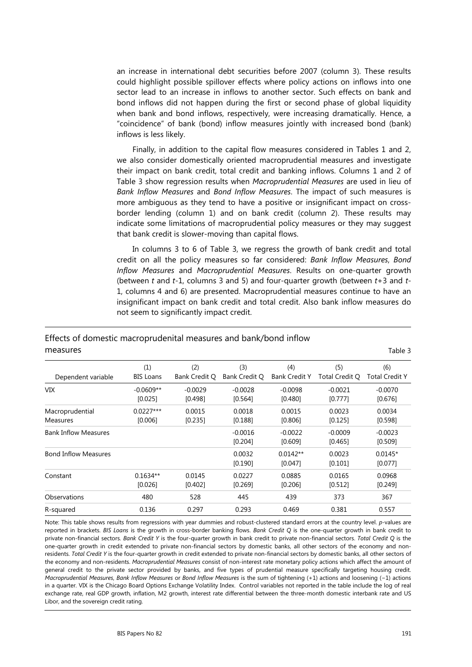an increase in international debt securities before 2007 (column 3). These results could highlight possible spillover effects where policy actions on inflows into one sector lead to an increase in inflows to another sector. Such effects on bank and bond inflows did not happen during the first or second phase of global liquidity when bank and bond inflows, respectively, were increasing dramatically. Hence, a "coincidence" of bank (bond) inflow measures jointly with increased bond (bank) inflows is less likely.

Finally, in addition to the capital flow measures considered in Tables 1 and 2, we also consider domestically oriented macroprudential measures and investigate their impact on bank credit, total credit and banking inflows. Columns 1 and 2 of Table 3 show regression results when *Macroprudential Measures* are used in lieu of *Bank Inflow Measures* and *Bond Inflow Measures*. The impact of such measures is more ambiguous as they tend to have a positive or insignificant impact on crossborder lending (column 1) and on bank credit (column 2). These results may indicate some limitations of macroprudential policy measures or they may suggest that bank credit is slower-moving than capital flows.

In columns 3 to 6 of Table 3, we regress the growth of bank credit and total credit on all the policy measures so far considered: *Bank Inflow Measures*, *Bond Inflow Measures* and *Macroprudential Measures*. Results on one-quarter growth (between *t* and *t*-1, columns 3 and 5) and four-quarter growth (between *t*+3 and *t*-1, columns 4 and 6) are presented. Macroprudential measures continue to have an insignificant impact on bank credit and total credit. Also bank inflow measures do not seem to significantly impact credit.

| measures                           |                         |                      |                      |                             |                       | Table 3                      |
|------------------------------------|-------------------------|----------------------|----------------------|-----------------------------|-----------------------|------------------------------|
| Dependent variable                 | (1)<br><b>BIS Loans</b> | (2)<br>Bank Credit Q | (3)<br>Bank Credit O | (4)<br><b>Bank Credit Y</b> | (5)<br>Total Credit Q | (6)<br><b>Total Credit Y</b> |
| VIX                                | $-0.0609**$<br>[0.025]  | $-0.0029$<br>[0.498] | $-0.0028$<br>[0.564] | $-0.0098$<br>[0.480]        | $-0.0021$<br>[0.777]  | $-0.0070$<br>[0.676]         |
| Macroprudential<br><b>Measures</b> | $0.0227***$<br>[0.006]  | 0.0015<br>[0.235]    | 0.0018<br>[0.188]    | 0.0015<br>[0.806]           | 0.0023<br>[0.125]     | 0.0034<br>[0.598]            |
| <b>Bank Inflow Measures</b>        |                         |                      | $-0.0016$<br>[0.204] | $-0.0022$<br>[0.609]        | $-0.0009$<br>[0.465]  | $-0.0023$<br>[0.509]         |
| <b>Bond Inflow Measures</b>        |                         |                      | 0.0032<br>[0.190]    | $0.0142**$<br>[0.047]       | 0.0023<br>[0.101]     | $0.0145*$<br>[0.077]         |
| Constant                           | $0.1634**$<br>[0.026]   | 0.0145<br>[0.402]    | 0.0227<br>[0.269]    | 0.0885<br>[0.206]           | 0.0165<br>[0.512]     | 0.0968<br>[0.249]            |
| Observations                       | 480                     | 528                  | 445                  | 439                         | 373                   | 367                          |
| R-squared                          | 0.136                   | 0.297                | 0.293                | 0.469                       | 0.381                 | 0.557                        |

# Effects of domestic macroprudenital measures and bank/bond inflow

Note: This table shows results from regressions with year dummies and robust-clustered standard errors at the country level. *p*-values are reported in brackets. *BIS Loans* is the growth in cross-border banking flows. *Bank Credit Q* is the one-quarter growth in bank credit to private non-financial sectors. *Bank Credit Y* is the four-quarter growth in bank credit to private non-financial sectors. *Total Credit Q* is the one-quarter growth in credit extended to private non-financial sectors by domestic banks, all other sectors of the economy and nonresidents. *Total Credit Y* is the four-quarter growth in credit extended to private non-financial sectors by domestic banks, all other sectors of the economy and non-residents. *Macroprudential Measures* consist of non-interest rate monetary policy actions which affect the amount of general credit to the private sector provided by banks, and five types of prudential measure specifically targeting housing credit. *Macroprudential Measures*, *Bank Inflow Measures* or *Bond Inflow Measures* is the sum of tightening (+1) actions and loosening (−1) actions in a quarter. VIX is the Chicago Board Options Exchange Volatility Index. Control variables not reported in the table include the log of real exchange rate, real GDP growth, inflation, M2 growth, interest rate differential between the three-month domestic interbank rate and US Libor, and the sovereign credit rating.